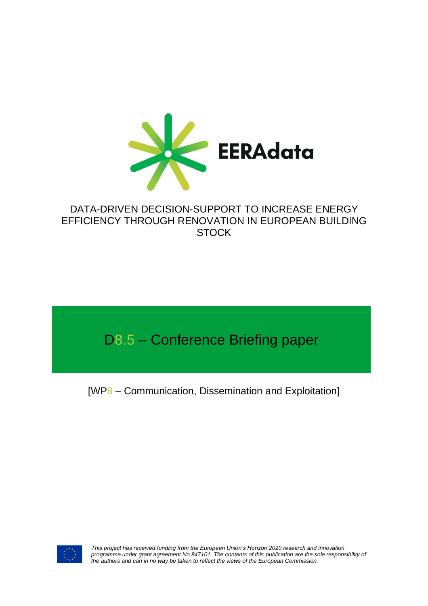

# DATA-DRIVEN DECISION-SUPPORT TO INCREASE ENERGY EFFICIENCY THROUGH RENOVATION IN EUROPEAN BUILDING **STOCK**

# D8.5 – Conference Briefing paper

[WP8 – Communication, Dissemination and Exploitation]



*This project has received funding from the European Union's Horizon 2020 research and innovation*  programme under grant agreement No 847101. The contents of this publication are the sole responsibility of *the authors and can in no way be taken to reflect the views of the European Commission.*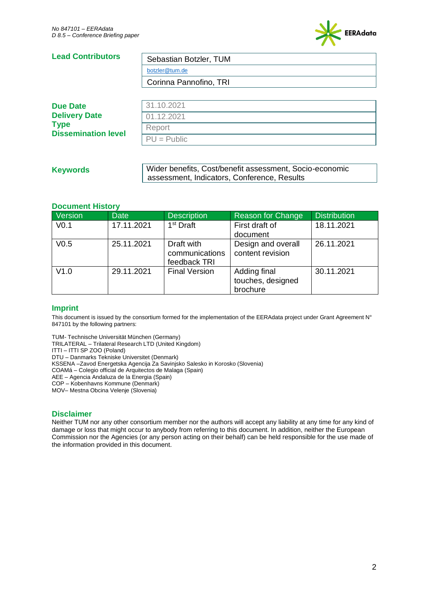

#### **Lead Contributors**  Sebastian Botzler, TUM

[botzler@tum.de](mailto:botzler@tum.de)

Corinna Pannofino, TRI

| <b>Due Date</b>                                                   | 31.10.2021    |
|-------------------------------------------------------------------|---------------|
| <b>Delivery Date</b><br><b>Type</b><br><b>Dissemination level</b> | 01.12.2021    |
|                                                                   | Report        |
|                                                                   | $PU = Public$ |

## **Keywords**

Wider benefits, Cost/benefit assessment, Socio-economic assessment, Indicators, Conference, Results

### **Document History**

| Version          | Date       | <b>Description</b>                           | Reason for Change                             | <b>Distribution</b> |
|------------------|------------|----------------------------------------------|-----------------------------------------------|---------------------|
| V <sub>0.1</sub> | 17.11.2021 | $1st$ Draft                                  | First draft of                                | 18.11.2021          |
|                  |            |                                              | document                                      |                     |
| V <sub>0.5</sub> | 25.11.2021 | Draft with<br>communications<br>feedback TRI | Design and overall<br>content revision        | 26.11.2021          |
| V1.0             | 29.11.2021 | <b>Final Version</b>                         | Adding final<br>touches, designed<br>brochure | 30.11.2021          |

### **Imprint**

This document is issued by the consortium formed for the implementation of the EERAdata project under Grant Agreement N° 847101 by the following partners:

TUM- Technische Universität München (Germany)

TRILATERAL – Trilateral Research LTD (United Kingdom)

ITTI – ITTI SP ZOO (Poland)

DTU – Danmarks Tekniske Universitet (Denmark)

KSSENA –Zavod Energetska Agencija Za Savinjsko Salesko in Korosko (Slovenia)

COAMá – Colegio official de Arquitectos de Malaga (Spain)

AEE – Agencia Andaluza de la Energia (Spain)

COP – Kobenhavns Kommune (Denmark)

MOV– Mestna Obcina Velenje (Slovenia)

### **Disclaimer**

Neither TUM nor any other consortium member nor the authors will accept any liability at any time for any kind of damage or loss that might occur to anybody from referring to this document. In addition, neither the European Commission nor the Agencies (or any person acting on their behalf) can be held responsible for the use made of the information provided in this document.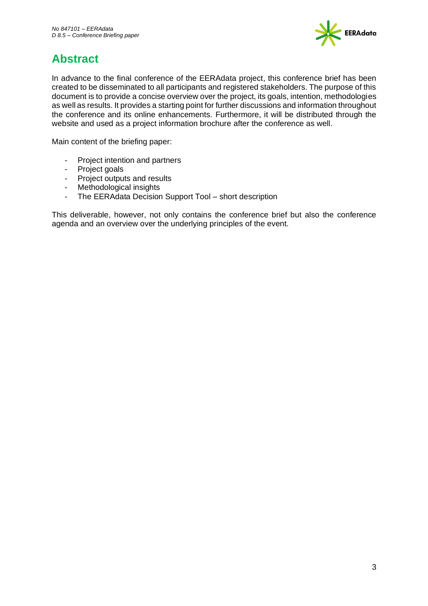

# <span id="page-2-0"></span>**Abstract**

In advance to the final conference of the EERAdata project, this conference brief has been created to be disseminated to all participants and registered stakeholders. The purpose of this document is to provide a concise overview over the project, its goals, intention, methodologies as well as results. It provides a starting point for further discussions and information throughout the conference and its online enhancements. Furthermore, it will be distributed through the website and used as a project information brochure after the conference as well.

Main content of the briefing paper:

- Project intention and partners
- Project goals
- Project outputs and results
- Methodological insights
- The EERAdata Decision Support Tool short description

This deliverable, however, not only contains the conference brief but also the conference agenda and an overview over the underlying principles of the event.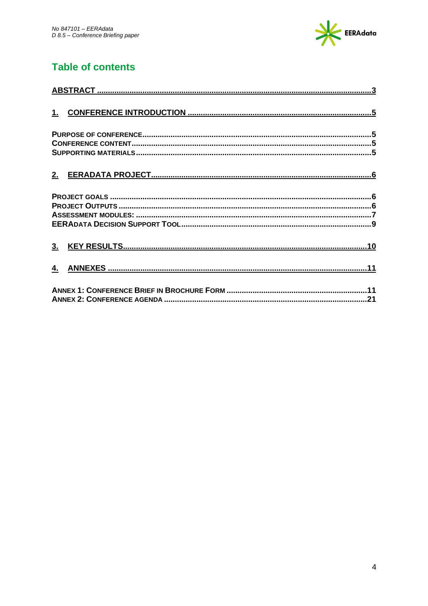

# **Table of contents**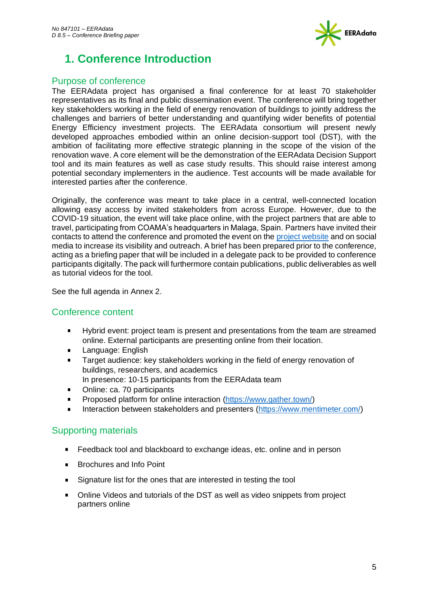

# <span id="page-4-0"></span>**1. Conference Introduction**

# <span id="page-4-1"></span>Purpose of conference

The EERAdata project has organised a final conference for at least 70 stakeholder representatives as its final and public dissemination event. The conference will bring together key stakeholders working in the field of energy renovation of buildings to jointly address the challenges and barriers of better understanding and quantifying wider benefits of potential Energy Efficiency investment projects. The EERAdata consortium will present newly developed approaches embodied within an online decision-support tool (DST), with the ambition of facilitating more effective strategic planning in the scope of the vision of the renovation wave. A core element will be the demonstration of the EERAdata Decision Support tool and its main features as well as case study results. This should raise interest among potential secondary implementers in the audience. Test accounts will be made available for interested parties after the conference.

Originally, the conference was meant to take place in a central, well-connected location allowing easy access by invited stakeholders from across Europe. However, due to the COVID-19 situation, the event will take place online, with the project partners that are able to travel, participating from COAMA's headquarters in Malaga, Spain. Partners have invited their contacts to attend the conference and promoted the event on the [project website](https://eeradata-project.eu/2021/11/09/the-final-conference/) and on social media to increase its visibility and outreach. A brief has been prepared prior to the conference, acting as a briefing paper that will be included in a delegate pack to be provided to conference participants digitally. The pack will furthermore contain publications, public deliverables as well as tutorial videos for the tool.

See the full agenda in Annex 2.

# <span id="page-4-2"></span>Conference content

- $\blacksquare$ Hybrid event: project team is present and presentations from the team are streamed online. External participants are presenting online from their location.
- Language: English
- Target audience: key stakeholders working in the field of energy renovation of buildings, researchers, and academics
- In presence: 10-15 participants from the EERAdata team
- Online: ca. 70 participants
- Proposed platform for online interaction [\(https://www.gather.town/\)](https://www.gather.town/)
- Interaction between stakeholders and presenters [\(https://www.mentimeter.com/\)](https://www.mentimeter.com/)

# <span id="page-4-3"></span>Supporting materials

- $\mathbf{r}$ Feedback tool and blackboard to exchange ideas, etc. online and in person
- Brochures and Info Point  $\blacksquare$
- $\mathbf{r}$ Signature list for the ones that are interested in testing the tool
- Online Videos and tutorials of the DST as well as video snippets from project partners online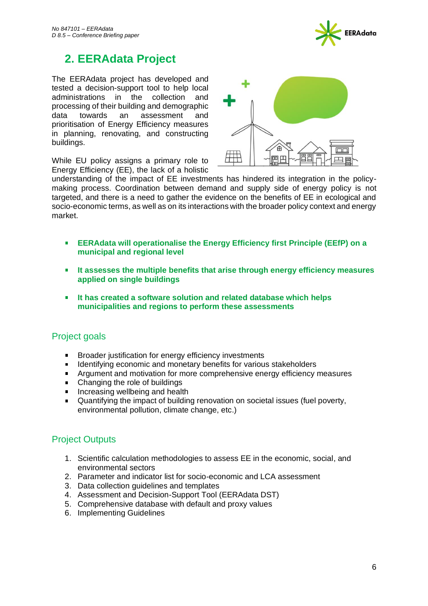

# <span id="page-5-0"></span>**2. EERAdata Project**

The EERAdata project has developed and tested a decision-support tool to help local administrations in the collection and processing of their building and demographic data towards an assessment and prioritisation of Energy Efficiency measures in planning, renovating, and constructing buildings.

While EU policy assigns a primary role to Energy Efficiency (EE), the lack of a holistic



understanding of the impact of EE investments has hindered its integration in the policymaking process. Coordination between demand and supply side of energy policy is not targeted, and there is a need to gather the evidence on the benefits of EE in ecological and socio-economic terms, as well as on its interactions with the broader policy context and energy market.

- **EERAdata will operationalise the Energy Efficiency first Principle (EEfP) on a College municipal and regional level**
- **It assesses the multiple benefits that arise through energy efficiency measures**   $\mathbf{r}$ **applied on single buildings**
- **It has created a software solution and related database which helps municipalities and regions to perform these assessments**

# <span id="page-5-1"></span>Project goals

- Broader justification for energy efficiency investments  $\blacksquare$
- $\blacksquare$ Identifying economic and monetary benefits for various stakeholders
- Argument and motivation for more comprehensive energy efficiency measures  $\mathbf{u}$  .
- Changing the role of buildings  $\mathbf{r}$
- $\mathbf{r}$ Increasing wellbeing and health
- $\blacksquare$ Quantifying the impact of building renovation on societal issues (fuel poverty, environmental pollution, climate change, etc.)

# <span id="page-5-2"></span>Project Outputs

- 1. Scientific calculation methodologies to assess EE in the economic, social, and environmental sectors
- 2. Parameter and indicator list for socio-economic and LCA assessment
- 3. Data collection guidelines and templates
- 4. Assessment and Decision-Support Tool (EERAdata DST)
- 5. Comprehensive database with default and proxy values
- 6. Implementing Guidelines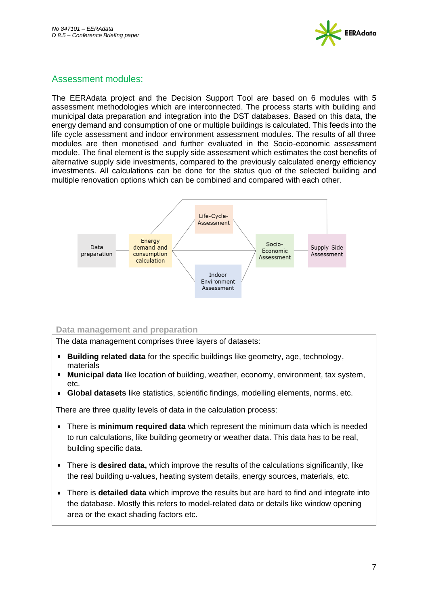

# <span id="page-6-0"></span>Assessment modules:

The EERAdata project and the Decision Support Tool are based on 6 modules with 5 assessment methodologies which are interconnected. The process starts with building and municipal data preparation and integration into the DST databases. Based on this data, the energy demand and consumption of one or multiple buildings is calculated. This feeds into the life cycle assessment and indoor environment assessment modules. The results of all three modules are then monetised and further evaluated in the Socio-economic assessment module. The final element is the supply side assessment which estimates the cost benefits of alternative supply side investments, compared to the previously calculated energy efficiency investments. All calculations can be done for the status quo of the selected building and multiple renovation options which can be combined and compared with each other.



### **Data management and preparation**

The data management comprises three layers of datasets:

- **Building related data** for the specific buildings like geometry, age, technology, materials
- **Municipal data** like location of building, weather, economy, environment, tax system,  $Ar$
- **Global datasets** like statistics, scientific findings, modelling elements, norms, etc.

There are three quality levels of data in the calculation process:

- There is **minimum required data** which represent the minimum data which is needed to run calculations, like building geometry or weather data. This data has to be real, building specific data.
- There is **desired data,** which improve the results of the calculations significantly, like the real building u-values, heating system details, energy sources, materials, etc.
- There is **detailed data** which improve the results but are hard to find and integrate into the database. Mostly this refers to model-related data or details like window opening area or the exact shading factors etc.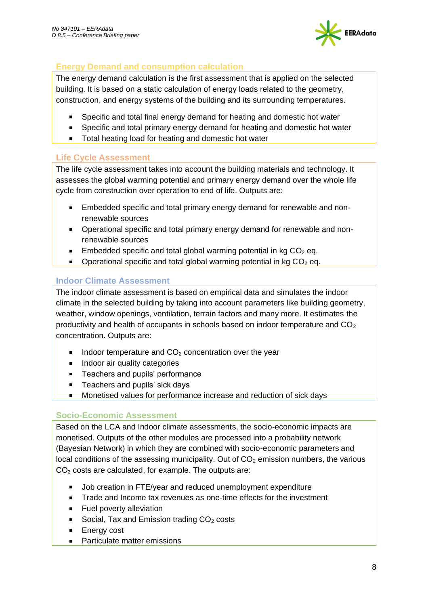

# **Energy Demand and consumption calculation**

The energy demand calculation is the first assessment that is applied on the selected building. It is based on a static calculation of energy loads related to the geometry, construction, and energy systems of the building and its surrounding temperatures.

- Specific and total final energy demand for heating and domestic hot water
- $\mathbf{E}^{(1)}$ Specific and total primary energy demand for heating and domestic hot water
- **Total heating load for heating and domestic hot water**

# **Life Cycle Assessment**

The life cycle assessment takes into account the building materials and technology. It assesses the global warming potential and primary energy demand over the whole life cycle from construction over operation to end of life. Outputs are:

- Embedded specific and total primary energy demand for renewable and nonrenewable sources
- Operational specific and total primary energy demand for renewable and nonrenewable sources
- Embedded specific and total global warming potential in  $kg CO<sub>2</sub>$  eq.
- **•** Operational specific and total global warming potential in kg  $CO<sub>2</sub>$  eq.

# **Indoor Climate Assessment**

The indoor climate assessment is based on empirical data and simulates the indoor climate in the selected building by taking into account parameters like building geometry, weather, window openings, ventilation, terrain factors and many more. It estimates the productivity and health of occupants in schools based on indoor temperature and  $CO<sub>2</sub>$ concentration. Outputs are:

- Indoor temperature and  $CO<sub>2</sub>$  concentration over the year
- Indoor air quality categories  $\mathbf{r}$  .
- **Teachers and pupils' performance**
- Teachers and pupils' sick days  $\blacksquare$
- Monetised values for performance increase and reduction of sick days

# **Socio-Economic Assessment**

Based on the LCA and Indoor climate assessments, the socio-economic impacts are monetised. Outputs of the other modules are processed into a probability network (Bayesian Network) in which they are combined with socio-economic parameters and local conditions of the assessing municipality. Out of  $CO<sub>2</sub>$  emission numbers, the various  $CO<sub>2</sub>$  costs are calculated, for example. The outputs are:

- Job creation in FTE/year and reduced unemployment expenditure
- Trade and Income tax revenues as one-time effects for the investment  $\blacksquare$
- Fuel poverty alleviation
- Social, Tax and Emission trading  $CO<sub>2</sub>$  costs
- $\mathbf{E}^{\text{max}}$ Energy cost
- Particulate matter emissions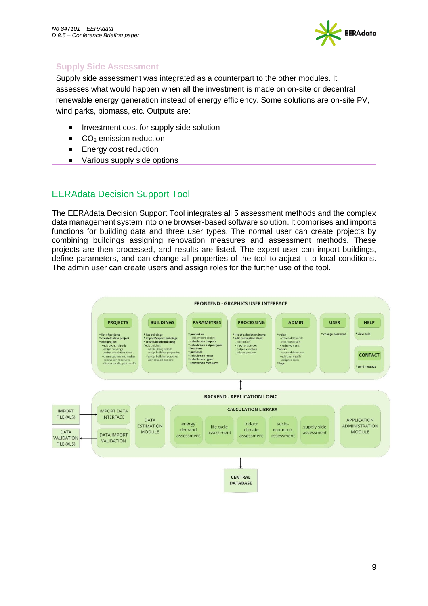

# **Supply Side Assessment**

Supply side assessment was integrated as a counterpart to the other modules. It assesses what would happen when all the investment is made on on-site or decentral renewable energy generation instead of energy efficiency. Some solutions are on-site PV, wind parks, biomass, etc. Outputs are:

- $\blacksquare$ Investment cost for supply side solution
- CO<sup>2</sup> emission reduction
- Energy cost reduction  $\blacksquare$
- $\blacksquare$ Various supply side options

# <span id="page-8-0"></span>EERAdata Decision Support Tool

The EERAdata Decision Support Tool integrates all 5 assessment methods and the complex data management system into one browser-based software solution. It comprises and imports functions for building data and three user types. The normal user can create projects by combining buildings assigning renovation measures and assessment methods. These projects are then processed, and results are listed. The expert user can import buildings, define parameters, and can change all properties of the tool to adjust it to local conditions. The admin user can create users and assign roles for the further use of the tool.

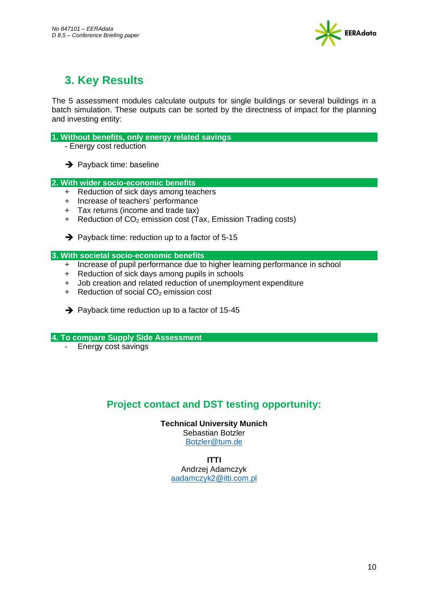

# <span id="page-9-0"></span>**3. Key Results**

The 5 assessment modules calculate outputs for single buildings or several buildings in a batch simulation. These outputs can be sorted by the directness of impact for the planning and investing entity:

### **1. Without benefits, only energy related savings**

- Energy cost reduction
- $\rightarrow$  Payback time: baseline

### **2. With wider socio-economic benefits**

- + Reduction of sick days among teachers
- + Increase of teachers' performance
- + Tax returns (income and trade tax)
- + Reduction of CO<sub>2</sub> emission cost (Tax, Emission Trading costs)
- $\rightarrow$  Payback time: reduction up to a factor of 5-15

### **3. With societal socio-economic benefits**

- + Increase of pupil performance due to higher learning performance in school
- + Reduction of sick days among pupils in schools
- + Job creation and related reduction of unemployment expenditure
- $+$  Reduction of social  $CO<sub>2</sub>$  emission cost
- $\rightarrow$  Payback time reduction up to a factor of 15-45

### **4. To compare Supply Side Assessment**

Energy cost savings

# **Project contact and DST testing opportunity:**

**Technical University Munich** Sebastian Botzler [Botzler@tum.de](mailto:Botzler@tum.de)

### **ITTI**

Andrzej Adamczyk [aadamczyk2@itti.com.pl](mailto:aadamczyk2@itti.com.pl)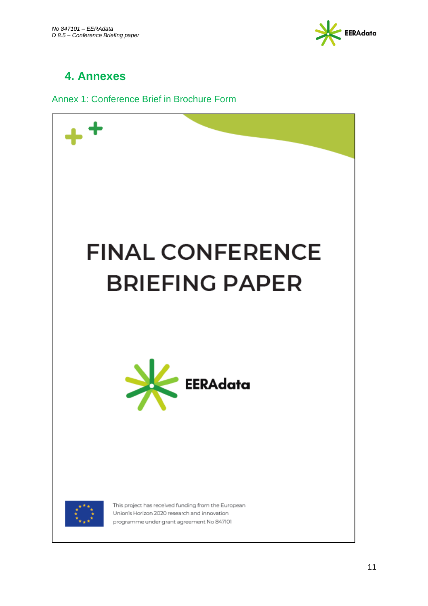

# <span id="page-10-0"></span>**4. Annexes**

<span id="page-10-1"></span>Annex 1: Conference Brief in Brochure Form

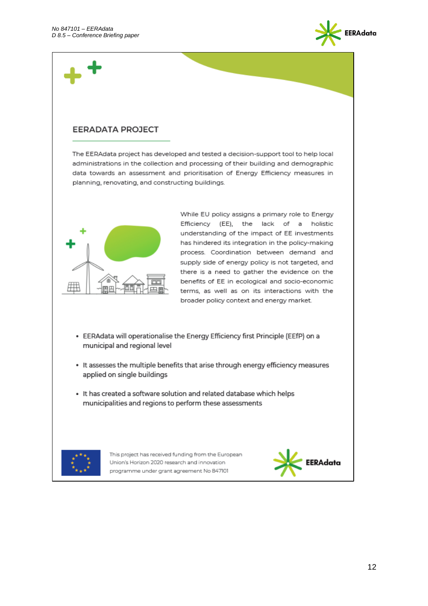

# **EERADATA PROJECT**

The EERAdata project has developed and tested a decision-support tool to help local administrations in the collection and processing of their building and demographic data towards an assessment and prioritisation of Energy Efficiency measures in planning, renovating, and constructing buildings.



While EU policy assigns a primary role to Energy Efficiency (EE), the lack of a holistic understanding of the impact of EE investments has hindered its integration in the policy-making process. Coordination between demand and supply side of energy policy is not targeted, and there is a need to gather the evidence on the benefits of EE in ecological and socio-economic terms, as well as on its interactions with the broader policy context and energy market.

- EERAdata will operationalise the Energy Efficiency first Principle (EEfP) on a municipal and regional level
- It assesses the multiple benefits that arise through energy efficiency measures applied on single buildings
- It has created a software solution and related database which helps municipalities and regions to perform these assessments



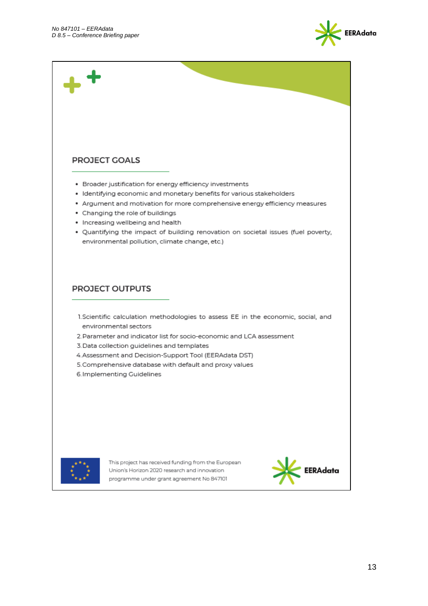

# PROJECT GOALS

- Broader justification for energy efficiency investments
- Identifying economic and monetary benefits for various stakeholders
- \* Argument and motivation for more comprehensive energy efficiency measures
- Changing the role of buildings
- Increasing wellbeing and health
- . Quantifying the impact of building renovation on societal issues (fuel poverty, environmental pollution, climate change, etc.)

## PROJECT OUTPUTS

- 1. Scientific calculation methodologies to assess EE in the economic, social, and environmental sectors
- 2. Parameter and indicator list for socio-economic and LCA assessment
- 3. Data collection guidelines and templates
- 4. Assessment and Decision-Support Tool (EERAdata DST)
- 5. Comprehensive database with default and proxy values
- 6. Implementing Guidelines



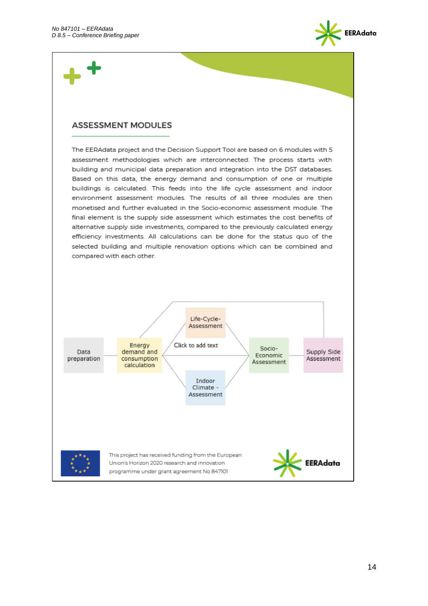

## **ASSESSMENT MODULES**

The EERAdata project and the Decision Support Tool are based on 6 modules with 5 assessment methodologies which are interconnected. The process starts with building and municipal data preparation and integration into the DST databases. Based on this data, the energy demand and consumption of one or multiple buildings is calculated. This feeds into the life cycle assessment and indoor environment assessment modules. The results of all three modules are then monetised and further evaluated in the Socio-economic assessment module. The final element is the supply side assessment which estimates the cost benefits of alternative supply side investments, compared to the previously calculated energy efficiency investments. All calculations can be done for the status quo of the selected building and multiple renovation options which can be combined and compared with each other.

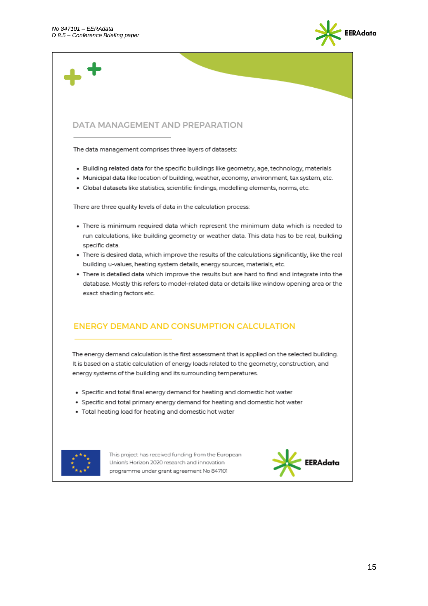

# DATA MANAGEMENT AND PREPARATION

The data management comprises three layers of datasets:

- . Building related data for the specific buildings like geometry, age, technology, materials
- · Municipal data like location of building, weather, economy, environment, tax system, etc.
- · Global datasets like statistics, scientific findings, modelling elements, norms, etc.

There are three quality levels of data in the calculation process:

- . There is minimum required data which represent the minimum data which is needed to run calculations, like building geometry or weather data. This data has to be real, building specific data.
- . There is desired data, which improve the results of the calculations significantly, like the real building u-values, heating system details, energy sources, materials, etc.
- . There is detailed data which improve the results but are hard to find and integrate into the database. Mostly this refers to model-related data or details like window opening area or the exact shading factors etc.

# **ENERGY DEMAND AND CONSUMPTION CALCULATION**

The energy demand calculation is the first assessment that is applied on the selected building. It is based on a static calculation of energy loads related to the geometry, construction, and energy systems of the building and its surrounding temperatures.

- Specific and total final energy demand for heating and domestic hot water
- Specific and total primary energy demand for heating and domestic hot water
- Total heating load for heating and domestic hot water



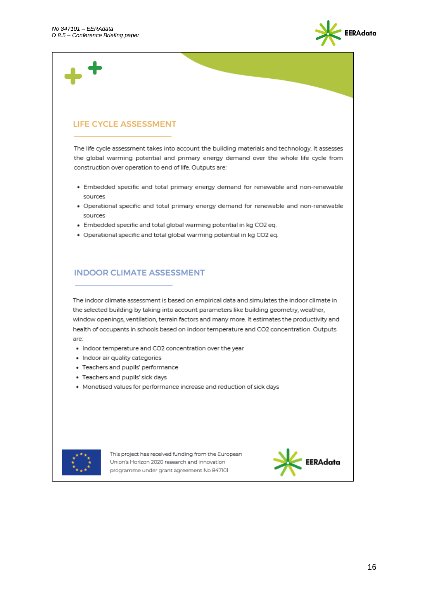

# **LIFE CYCLE ASSESSMENT**

The life cycle assessment takes into account the building materials and technology. It assesses the global warming potential and primary energy demand over the whole life cycle from construction over operation to end of life. Outputs are:

- . Embedded specific and total primary energy demand for renewable and non-renewable sources
- . Operational specific and total primary energy demand for renewable and non-renewable sources
- Embedded specific and total global warming potential in kg CO2 eq.
- . Operational specific and total global warming potential in kg CO2 eq.

# **INDOOR CLIMATE ASSESSMENT**

The indoor climate assessment is based on empirical data and simulates the indoor climate in the selected building by taking into account parameters like building geometry, weather, window openings, ventilation, terrain factors and many more. It estimates the productivity and health of occupants in schools based on indoor temperature and CO2 concentration. Outputs are:

- Indoor temperature and CO2 concentration over the year
- · Indoor air quality categories
- · Teachers and pupils' performance
- Teachers and pupils' sick days
- Monetised values for performance increase and reduction of sick days



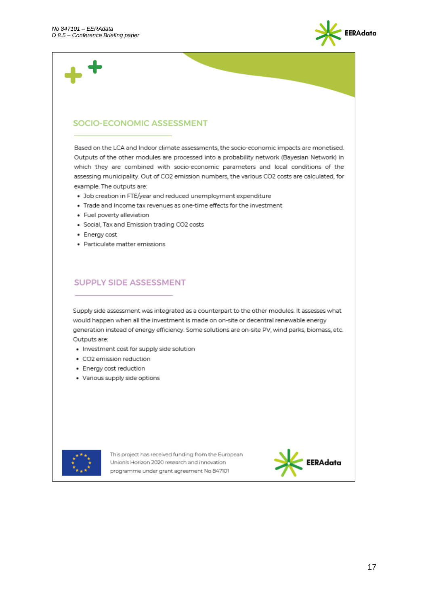

# SOCIO-ECONOMIC ASSESSMENT

Based on the LCA and Indoor climate assessments, the socio-economic impacts are monetised. Outputs of the other modules are processed into a probability network (Bayesian Network) in which they are combined with socio-economic parameters and local conditions of the assessing municipality. Out of CO2 emission numbers, the various CO2 costs are calculated, for example. The outputs are:

- . Job creation in FTE/year and reduced unemployment expenditure
- Trade and Income tax revenues as one-time effects for the investment
- Fuel poverty alleviation
- Social, Tax and Emission trading CO2 costs
- · Energy cost
- Particulate matter emissions

## **SUPPLY SIDE ASSESSMENT**

Supply side assessment was integrated as a counterpart to the other modules. It assesses what would happen when all the investment is made on on-site or decentral renewable energy generation instead of energy efficiency. Some solutions are on-site PV, wind parks, biomass, etc. Outputs are:

- Investment cost for supply side solution
- CO2 emission reduction
- Energy cost reduction
- Various supply side options



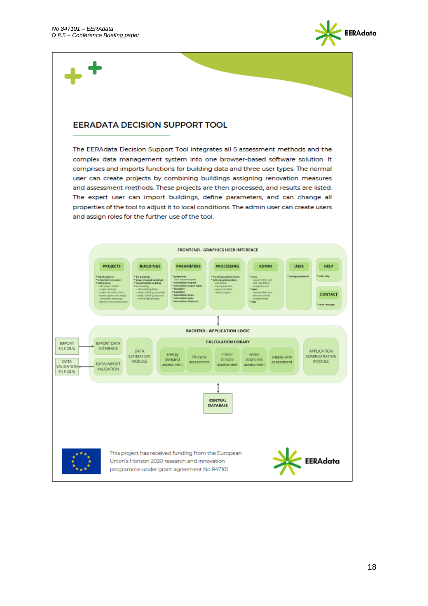

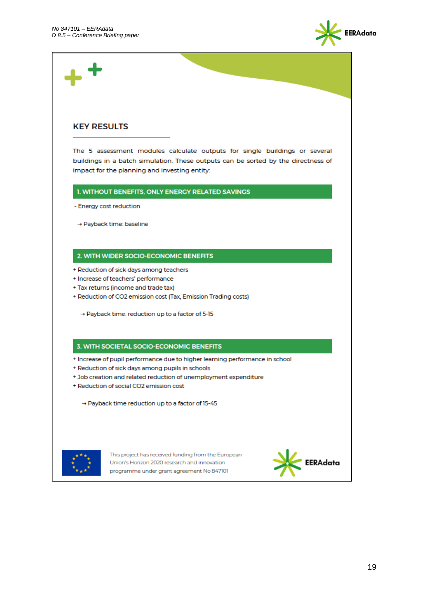

## **KEY RESULTS**

The 5 assessment modules calculate outputs for single buildings or several buildings in a batch simulation. These outputs can be sorted by the directness of impact for the planning and investing entity:

1. WITHOUT BENEFITS, ONLY ENERGY RELATED SAVINGS

- Energy cost reduction

→ Payback time: baseline

### 2. WITH WIDER SOCIO-ECONOMIC BENEFITS

- + Reduction of sick days among teachers
- + Increase of teachers' performance
- + Tax returns (income and trade tax)
- + Reduction of CO2 emission cost (Tax, Emission Trading costs)
	- → Payback time: reduction up to a factor of 5-15

#### 3. WITH SOCIETAL SOCIO-ECONOMIC BENEFITS

- + Increase of pupil performance due to higher learning performance in school
- + Reduction of sick days among pupils in schools
- + Job creation and related reduction of unemployment expenditure
- + Reduction of social CO2 emission cost

→ Payback time reduction up to a factor of 15-45



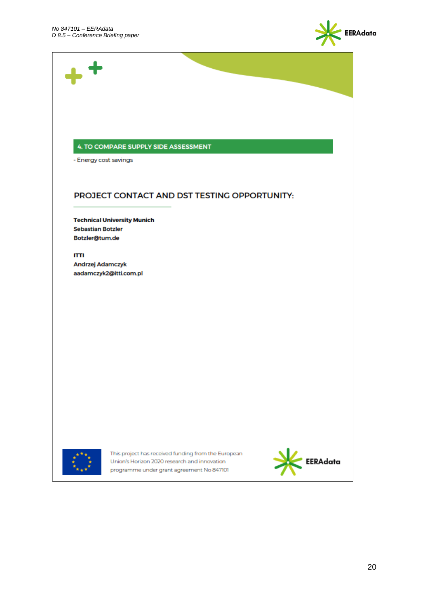

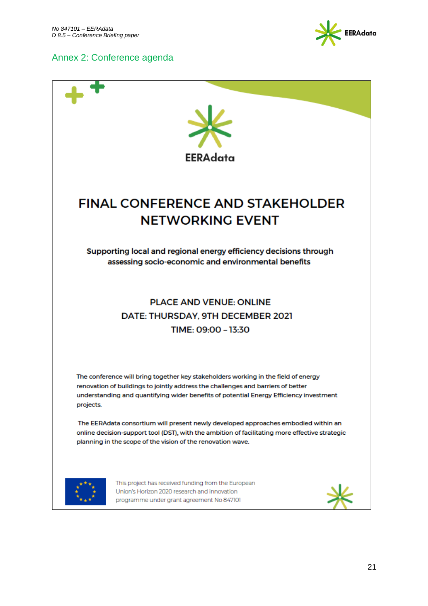# <span id="page-20-0"></span>Annex 2: Conference agenda



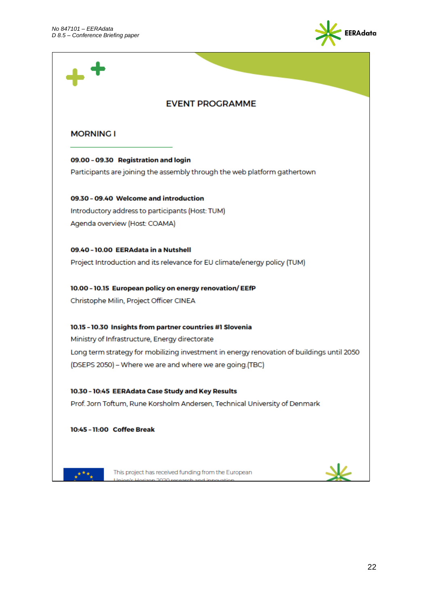

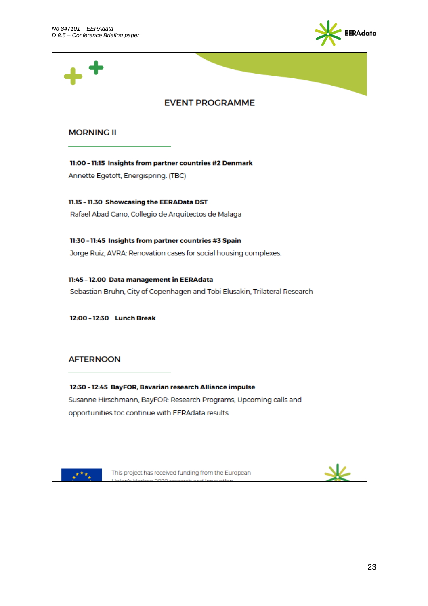